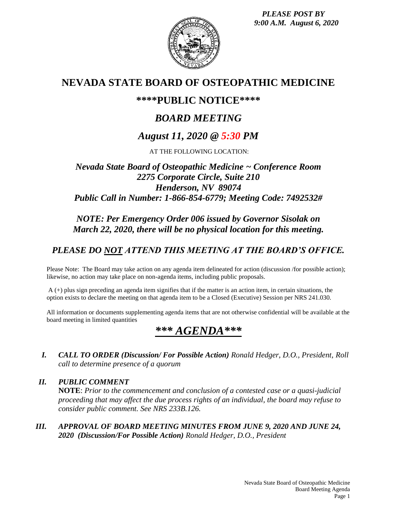*PLEASE POST BY 9:00 A.M. August 6, 2020*



# **NEVADA STATE BOARD OF OSTEOPATHIC MEDICINE**

## **\*\*\*\*PUBLIC NOTICE\*\*\*\***

# *BOARD MEETING*

# *August 11, 2020 @ 5:30 PM*

AT THE FOLLOWING LOCATION:

## *Nevada State Board of Osteopathic Medicine ~ Conference Room 2275 Corporate Circle, Suite 210 Henderson, NV 89074 Public Call in Number: 1-866-854-6779; Meeting Code: 7492532#*

## *NOTE: Per Emergency Order 006 issued by Governor Sisolak on March 22, 2020, there will be no physical location for this meeting.*

## *PLEASE DO NOT ATTEND THIS MEETING AT THE BOARD'S OFFICE.*

Please Note: The Board may take action on any agenda item delineated for action (discussion /for possible action); likewise, no action may take place on non-agenda items, including public proposals.

A (+) plus sign preceding an agenda item signifies that if the matter is an action item, in certain situations, the option exists to declare the meeting on that agenda item to be a Closed (Executive) Session per NRS 241.030.

All information or documents supplementing agenda items that are not otherwise confidential will be available at the board meeting in limited quantities

# *\*\*\* AGENDA\*\*\**

*I. CALL TO ORDER (Discussion/ For Possible Action) Ronald Hedger, D.O., President, Roll call to determine presence of a quorum*

*II. PUBLIC COMMENT* **NOTE**: *Prior to the commencement and conclusion of a contested case or a quasi-judicial proceeding that may affect the due process rights of an individual, the board may refuse to consider public comment. See NRS 233B.126.*

*III. APPROVAL OF BOARD MEETING MINUTES FROM JUNE 9, 2020 AND JUNE 24, 2020 (Discussion/For Possible Action) Ronald Hedger, D.O., President*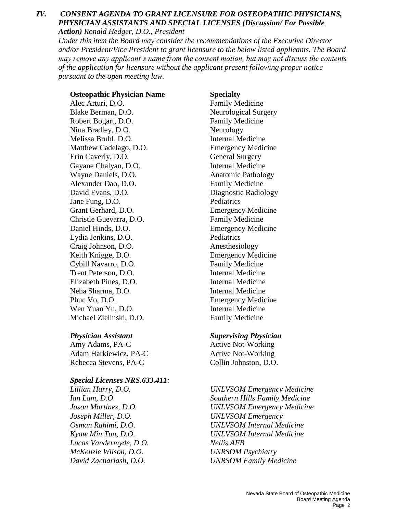#### *IV. CONSENT AGENDA TO GRANT LICENSURE FOR OSTEOPATHIC PHYSICIANS, PHYSICIAN ASSISTANTS AND SPECIAL LICENSES (Discussion/ For Possible Action) Ronald Hedger, D.O., President*

*Under this item the Board may consider the recommendations of the Executive Director and/or President/Vice President to grant licensure to the below listed applicants. The Board may remove any applicant's name from the consent motion, but may not discuss the contents of the application for licensure without the applicant present following proper notice pursuant to the open meeting law.*

#### **Osteopathic Physician Name Specialty**

Alec Arturi, D.O. **Family Medicine** Blake Berman, D.O. Neurological Surgery Robert Bogart, D.O. Family Medicine Nina Bradley, D.O. Neurology Melissa Bruhl, D.O. Internal Medicine Matthew Cadelago, D.O. Emergency Medicine Erin Caverly, D.O. General Surgery Gayane Chalyan, D.O. **Internal Medicine** Wayne Daniels, D.O. **Anatomic Pathology** Alexander Dao, D.O. Family Medicine David Evans, D.O. Diagnostic Radiology Jane Fung, D.O. Pediatrics Grant Gerhard, D.O. Emergency Medicine Christle Guevarra, D.O. Family Medicine Daniel Hinds, D.O. Emergency Medicine Lydia Jenkins, D.O. Pediatrics Craig Johnson, D.O. Anesthesiology Keith Knigge, D.O. Emergency Medicine Cybill Navarro, D.O. Family Medicine Trent Peterson, D.O. **Internal Medicine** Elizabeth Pines, D.O. Internal Medicine Neha Sharma, D.O. **Internal Medicine** Phuc Vo, D.O. Emergency Medicine Wen Yuan Yu, D.O. **Internal Medicine** Michael Zielinski, D.O. Family Medicine

Amy Adams, PA-C Active Not-Working Adam Harkiewicz, PA-C Active Not-Working Rebecca Stevens, PA-C Collin Johnston, D.O.

## *Special Licenses NRS.633.411:*

*Joseph Miller, D.O. UNLVSOM Emergency Lucas Vandermyde, D.O. Nellis AFB McKenzie Wilson, D.O. UNRSOM Psychiatry*

#### *Physician Assistant Supervising Physician*

*Lillian Harry, D.O. UNLVSOM Emergency Medicine Ian Lam, D.O. Southern Hills Family Medicine Jason Martinez, D.O. UNLVSOM Emergency Medicine Osman Rahimi, D.O. UNLVSOM Internal Medicine Kyaw Min Tun, D.O. UNLVSOM Internal Medicine David Zachariash, D.O. UNRSOM Family Medicine*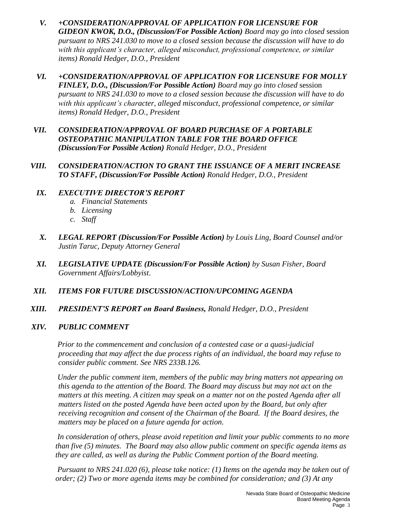- *V. +CONSIDERATION/APPROVAL OF APPLICATION FOR LICENSURE FOR GIDEON KWOK, D.O., (Discussion/For Possible Action) Board may go into closed* session *pursuant to NRS 241.030 to move to a closed session because the discussion will have to do with this applicant's character, alleged misconduct, professional competence, or similar items) Ronald Hedger, D.O., President*
- *VI. +CONSIDERATION/APPROVAL OF APPLICATION FOR LICENSURE FOR MOLLY FINLEY, D.O., (Discussion/For Possible Action) Board may go into closed* session *pursuant to NRS 241.030 to move to a closed session because the discussion will have to do with this applicant's character, alleged misconduct, professional competence, or similar items) Ronald Hedger, D.O., President*
- *VII. CONSIDERATION/APPROVAL OF BOARD PURCHASE OF A PORTABLE OSTEOPATHIC MANIPULATION TABLE FOR THE BOARD OFFICE (Discussion/For Possible Action) Ronald Hedger, D.O., President*
- *VIII. CONSIDERATION/ACTION TO GRANT THE ISSUANCE OF A MERIT INCREASE TO STAFF, (Discussion/For Possible Action) Ronald Hedger, D.O., President*

### *IX. EXECUTIVE DIRECTOR'S REPORT*

- *a. Financial Statements*
- *b. Licensing*
- *c. Staff*
- *X. LEGAL REPORT (Discussion/For Possible Action) by Louis Ling, Board Counsel and/or Justin Taruc, Deputy Attorney General*
- *XI. LEGISLATIVE UPDATE (Discussion/For Possible Action) by Susan Fisher, Board Government Affairs/Lobbyist*.
- *XII. ITEMS FOR FUTURE DISCUSSION/ACTION/UPCOMING AGENDA*
- *XIII. PRESIDENT'S REPORT on Board Business, Ronald Hedger, D.O., President*

#### *XIV. PUBLIC COMMENT*

*Prior to the commencement and conclusion of a contested case or a quasi-judicial proceeding that may affect the due process rights of an individual, the board may refuse to consider public comment. See NRS 233B.126.*

*Under the public comment item, members of the public may bring matters not appearing on this agenda to the attention of the Board. The Board may discuss but may not act on the matters at this meeting. A citizen may speak on a matter not on the posted Agenda after all matters listed on the posted Agenda have been acted upon by the Board, but only after receiving recognition and consent of the Chairman of the Board. If the Board desires, the matters may be placed on a future agenda for action.*

*In consideration of others, please avoid repetition and limit your public comments to no more than five (5) minutes. The Board may also allow public comment on specific agenda items as they are called, as well as during the Public Comment portion of the Board meeting.* 

*Pursuant to NRS 241.020 (6), please take notice: (1) Items on the agenda may be taken out of order; (2) Two or more agenda items may be combined for consideration; and (3) At any*